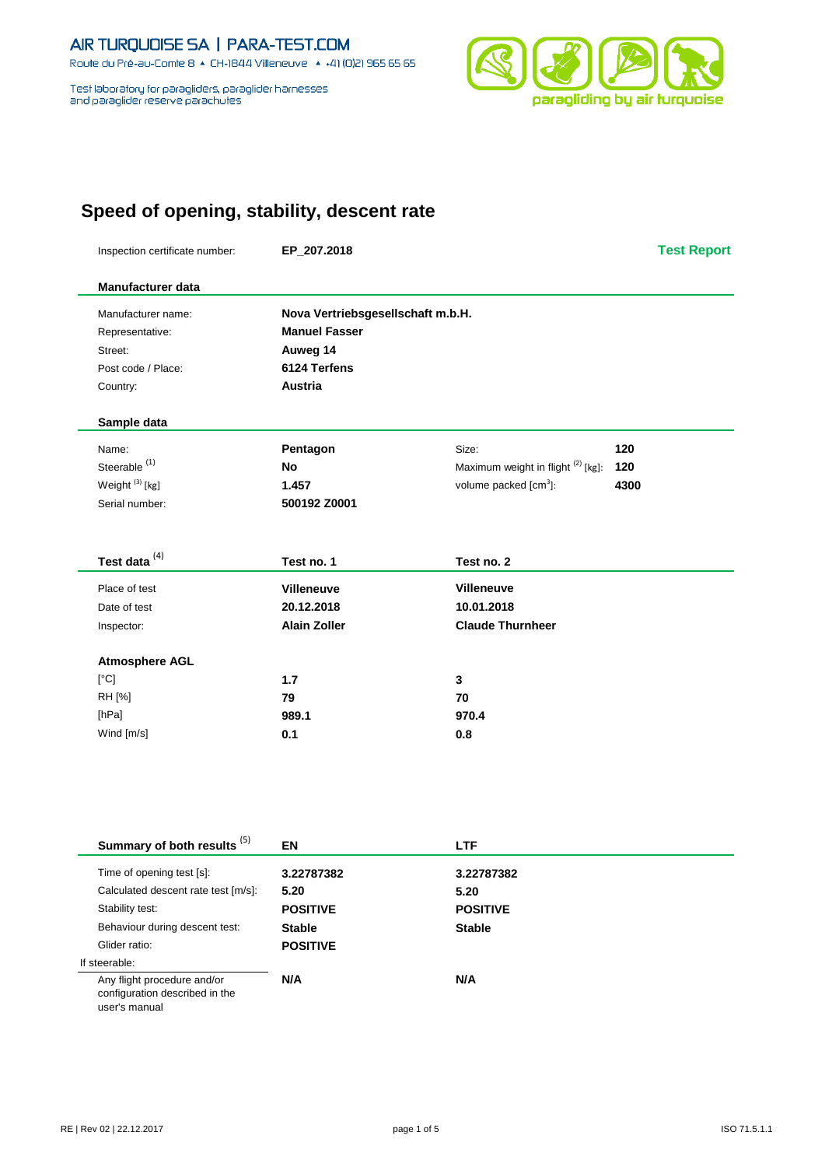Route du Pré-au-Comte 8 & CH-1844 Villeneuve | 4 +41 (0)21 965 65 65

Test laboratory for paragliders, paraglider harnesses<br>and paraglider reserve parachutes



# **Speed of opening, stability, descent rate**

| Inspection certificate number: | EP_207.2018                       |                                               | <b>Test Report</b> |
|--------------------------------|-----------------------------------|-----------------------------------------------|--------------------|
| Manufacturer data              |                                   |                                               |                    |
| Manufacturer name:             | Nova Vertriebsgesellschaft m.b.H. |                                               |                    |
| Representative:                | <b>Manuel Fasser</b>              |                                               |                    |
| Street:                        | Auweg 14                          |                                               |                    |
| Post code / Place:             | 6124 Terfens                      |                                               |                    |
| Country:                       | Austria                           |                                               |                    |
| Sample data                    |                                   |                                               |                    |
| Name:                          | Pentagon                          | Size:                                         | 120                |
| Steerable <sup>(1)</sup>       | <b>No</b>                         | Maximum weight in flight <sup>(2)</sup> [kg]: | 120                |
| Weight <sup>(3)</sup> [kg]     | 1.457                             | volume packed [cm <sup>3</sup> ]:             | 4300               |
| Serial number:                 | 500192 Z0001                      |                                               |                    |
| Test data <sup>(4)</sup>       | Test no. 1                        | Test no. 2                                    |                    |
| Place of test                  | <b>Villeneuve</b>                 | <b>Villeneuve</b>                             |                    |
| Date of test                   | 20.12.2018                        | 10.01.2018                                    |                    |
| Inspector:                     | <b>Alain Zoller</b>               | <b>Claude Thurnheer</b>                       |                    |
| <b>Atmosphere AGL</b>          |                                   |                                               |                    |
| [°C]                           | $1.7$                             | 3                                             |                    |
| RH [%]                         | 79                                | 70                                            |                    |
| [hPa]                          | 989.1                             | 970.4                                         |                    |
|                                |                                   | 0.8                                           |                    |

| Summary of both results <sup>(5)</sup>                                         | EN              | <b>LTF</b>      |  |
|--------------------------------------------------------------------------------|-----------------|-----------------|--|
| Time of opening test [s]:                                                      | 3.22787382      | 3.22787382      |  |
| Calculated descent rate test [m/s]:                                            | 5.20            | 5.20            |  |
| Stability test:                                                                | <b>POSITIVE</b> | <b>POSITIVE</b> |  |
| Behaviour during descent test:                                                 | <b>Stable</b>   | <b>Stable</b>   |  |
| Glider ratio:                                                                  | <b>POSITIVE</b> |                 |  |
| If steerable:                                                                  |                 |                 |  |
| Any flight procedure and/or<br>configuration described in the<br>user's manual | N/A             | N/A             |  |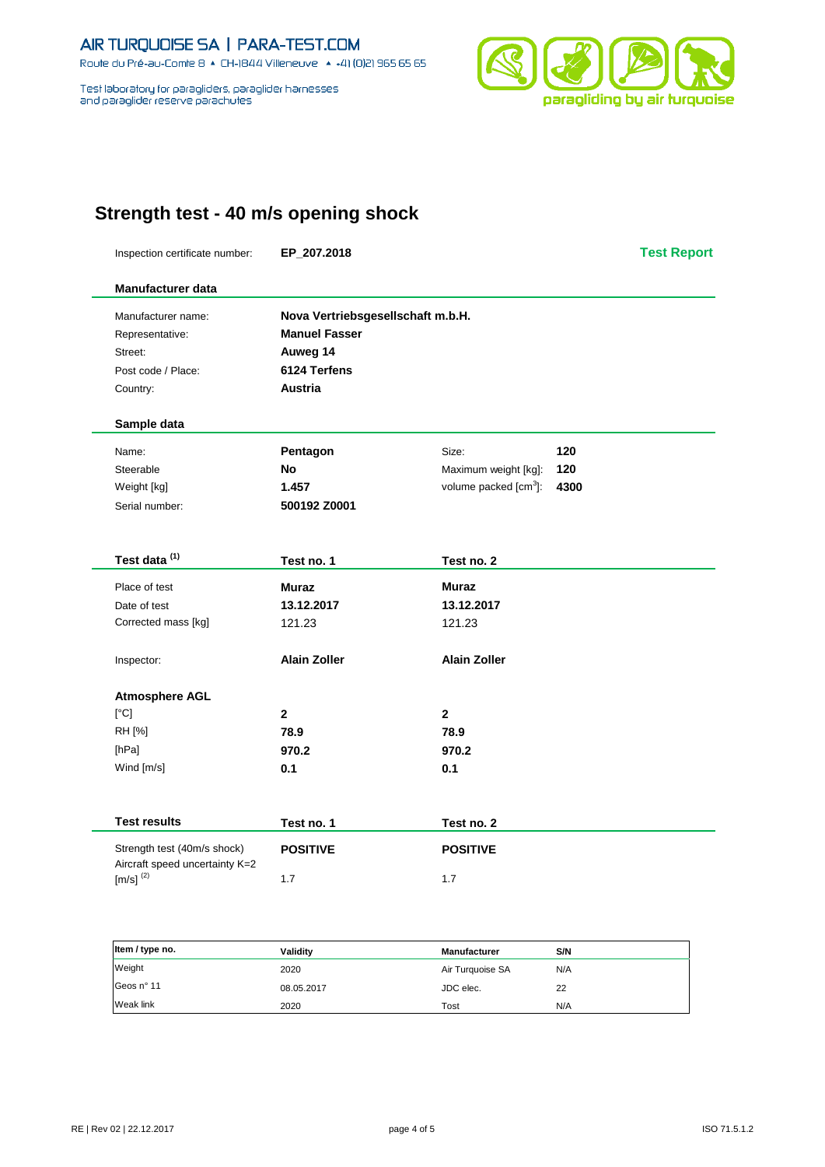Route du Pré-au-Comte 8 + CH-1844 Villeneuve + +41 (0)21 965 65 65

Test laboratory for paragliders, paraglider hamesses and paraglider reserve parachutes



## **Strength test - 40 m/s opening shock**

Inspection certificate number: **EP\_207.2018 Test Report Manufacturer data** Manufacturer name: **Nova Vertriebsgesellschaft m.b.H.** Representative: **Manuel Fasser** Street: **Auweg 14** Post code / Place: **6124 Terfens** Country: **Austria Sample data** Name: **Pentagon** Size: **120** Steerable **No** Maximum weight [kg]: **120** Weight [kg] **1.457** volume packed [cm<sup>3</sup>]: ]: **4300** Serial number: **500192 Z0001 Test data (1) Test no. 1 Test no. 2** Place of test **Muraz Muraz** Date of test **13.12.2017 13.12.2017** Corrected mass [kg] 121.23 121.23 Inspector: **Alain Zoller Alain Zoller Atmosphere AGL** [°C] **2 2** RH [%] **78.9 78.9** [hPa] **970.2 970.2** Wind [m/s] **0.1 0.1 0.1** 

| <b>Test results</b>                                           | Test no. 1      | Test no. 2      |
|---------------------------------------------------------------|-----------------|-----------------|
| Strength test (40m/s shock)<br>Aircraft speed uncertainty K=2 | <b>POSITIVE</b> | <b>POSITIVE</b> |
| $[m/s]^{(2)}$                                                 | 1.7             | 1.7             |

| Item / type no. | Validity   | <b>Manufacturer</b> | S/N |
|-----------------|------------|---------------------|-----|
| Weight          | 2020       | Air Turquoise SA    | N/A |
| Geos nº 11      | 08.05.2017 | JDC elec.           | 22  |
| Weak link       | 2020       | Tost                | N/A |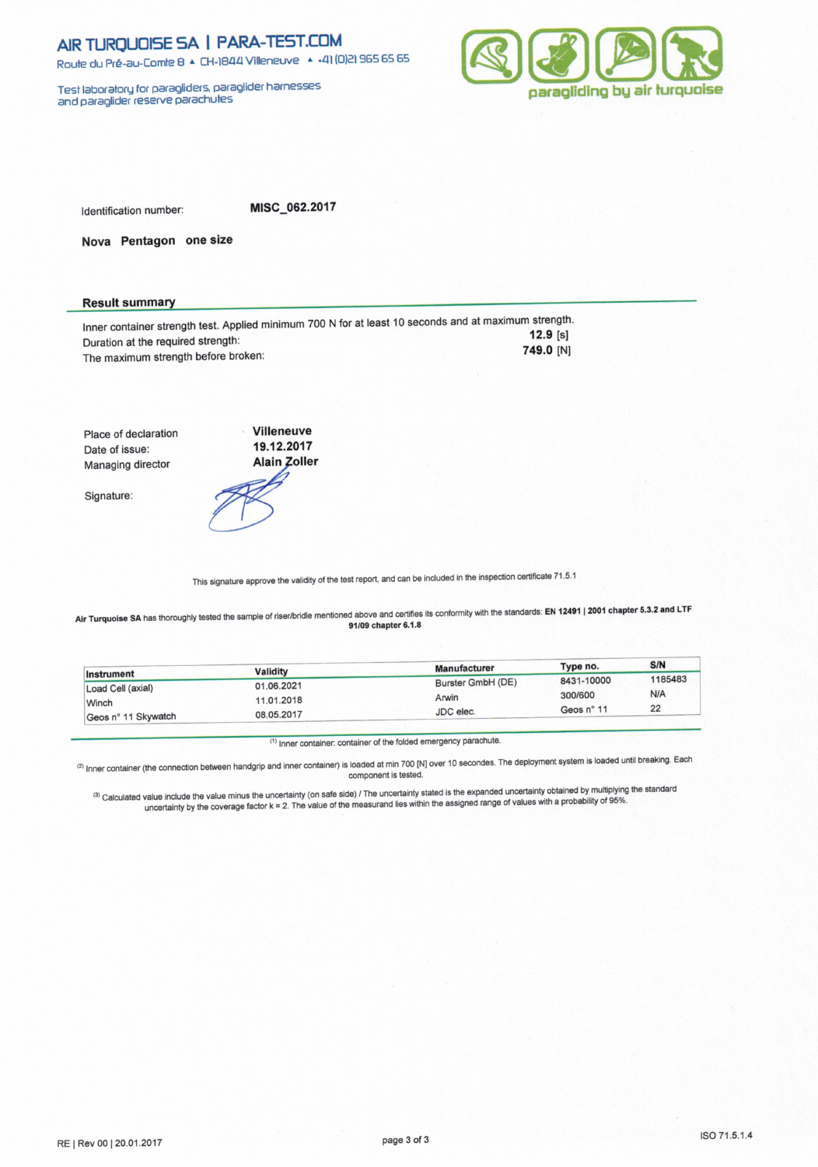Route du Pré-au-Comte 8 & CH-1844 Villeneuve | 4 +41 (0)21 965 65 65

Test laboratory for paragliders, paraglider hamesses<br>and paraglider reserve parachutes



Identification number:

MISC 062.2017

Nova Pentagon one size

### **Result summary**

Inner container strength test. Applied minimum 700 N for at least 10 seconds and at maximum strength.  $12.9 [s]$ Duration at the required strength: 749.0 [N] The maximum strength before broken:

Villeneuve Place of declaration 19.12.2017 Date of issue: Managing director

Signature:



This signature approve the validity of the test report, and can be included in the inspection certificate 71.5.1

Air Turquoise SA has thoroughly tested the sample of riser/bridle mentioned above and certifies its conformity with the standards: EN 12491 | 2001 chapter 5.3.2 and LTF 91/09 chapter 6.1.8

|                     |            | <b>Manufacturer</b> | Type no.   | S/N     |
|---------------------|------------|---------------------|------------|---------|
| Instrument          | Validity   |                     | 8431-10000 | 1185483 |
| Load Cell (axial)   | 01.06.2021 | Burster GmbH (DE)   |            |         |
| Winch               | 11.01.2018 | Arwin               | 300/600    | N/A     |
|                     |            | JDC elec.           | Geos n° 11 | 22      |
| Geos n° 11 Skywatch | 08.05.2017 |                     |            |         |

(1) Inner container: container of the folded emergency parachute.

(2) Inner container (the connection between handgrip and inner container) is loaded at min 700 [N] over 10 secondes. The deployment system is loaded until breaking. Each component is tested.

(3) Calculated value include the value minus the uncertainty (on safe side) / The uncertainty stated is the expanded uncertainty obtained by multiplying the standard<br>uncertainty by the coverage factor k = 2. The value of t